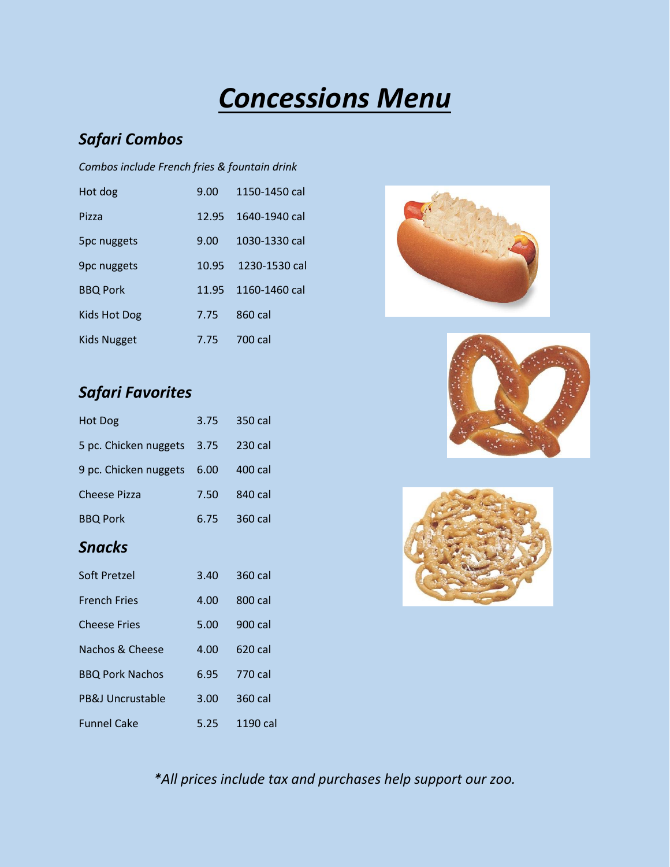# *Concessions Menu*

# *Safari Combos*

#### *Combos include French fries & fountain drink*

| Hot dog             | $9.00^{\circ}$ | 1150-1450 cal |
|---------------------|----------------|---------------|
| Pizza               | 12.95          | 1640-1940 cal |
| 5pc nuggets         | 9.00           | 1030-1330 cal |
| <b>9pc nuggets</b>  | 10.95          | 1230-1530 cal |
| <b>BBQ Pork</b>     | 11.95          | 1160-1460 cal |
| <b>Kids Hot Dog</b> | 7.75           | 860 cal       |
| Kids Nugget         | 7.75           | 700 cal       |

### *Safari Favorites*

| Hot Dog                    | 3.75 | 350 cal |
|----------------------------|------|---------|
| 5 pc. Chicken nuggets 3.75 |      | 230 cal |
| 9 pc. Chicken nuggets 6.00 |      | 400 cal |
| <b>Cheese Pizza</b>        | 7.50 | 840 cal |
| <b>BBQ Pork</b>            | 6.75 | 360 cal |

### *Snacks*

| Soft Pretzel           | 3.40 | 360 cal  |
|------------------------|------|----------|
| <b>French Fries</b>    | 4.00 | 800 cal  |
| <b>Cheese Fries</b>    | 5.00 | 900 cal  |
| Nachos & Cheese        | 4.00 | 620 cal  |
| <b>BBQ Pork Nachos</b> | 6.95 | 770 cal  |
| PB&J Uncrustable       | 3.00 | 360 cal  |
| <b>Funnel Cake</b>     | 5.25 | 1190 cal |







*\*All prices include tax and purchases help support our zoo.*